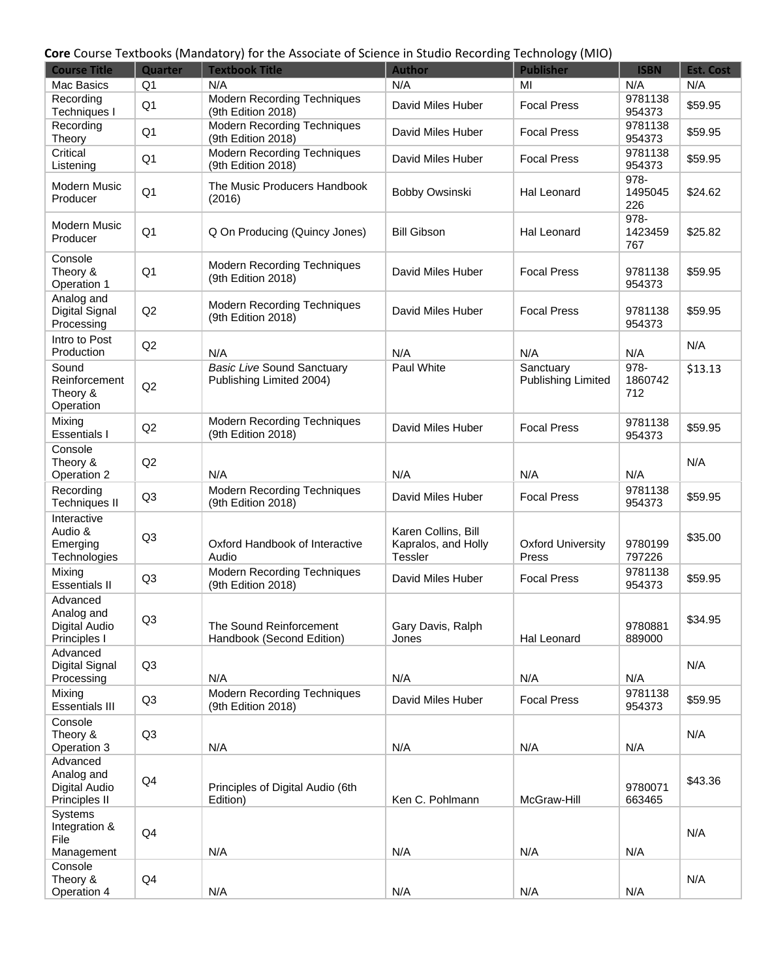## **Core** Course Textbooks (Mandatory) for the Associate of Science in Studio Recording Technology (MIO)

| <b>Course Title</b>                                      | Quarter        | <b>Textbook Title</b>                                         | <b>Author</b>                                         | ּ יש<br><b>Publisher</b>               | <b>ISBN</b>            | Est. Cost |
|----------------------------------------------------------|----------------|---------------------------------------------------------------|-------------------------------------------------------|----------------------------------------|------------------------|-----------|
| Mac Basics                                               | Q <sub>1</sub> | N/A                                                           | N/A                                                   | MI                                     | N/A                    | N/A       |
| Recording<br>Techniques I                                | Q <sub>1</sub> | <b>Modern Recording Techniques</b><br>(9th Edition 2018)      | David Miles Huber                                     | <b>Focal Press</b>                     | 9781138<br>954373      | \$59.95   |
| Recording<br>Theory                                      | Q <sub>1</sub> | <b>Modern Recording Techniques</b><br>(9th Edition 2018)      | David Miles Huber                                     | <b>Focal Press</b>                     | 9781138<br>954373      | \$59.95   |
| Critical<br>Listening                                    | Q <sub>1</sub> | <b>Modern Recording Techniques</b><br>(9th Edition 2018)      | David Miles Huber                                     | <b>Focal Press</b>                     | 9781138<br>954373      | \$59.95   |
| <b>Modern Music</b><br>Producer                          | Q <sub>1</sub> | The Music Producers Handbook<br>(2016)                        | Bobby Owsinski                                        | Hal Leonard                            | 978-<br>1495045<br>226 | \$24.62   |
| Modern Music<br>Producer                                 | Q <sub>1</sub> | Q On Producing (Quincy Jones)                                 | <b>Bill Gibson</b>                                    | <b>Hal Leonard</b>                     | 978-<br>1423459<br>767 | \$25.82   |
| Console<br>Theory &<br>Operation 1                       | Q <sub>1</sub> | Modern Recording Techniques<br>(9th Edition 2018)             | David Miles Huber                                     | <b>Focal Press</b>                     | 9781138<br>954373      | \$59.95   |
| Analog and<br>Digital Signal<br>Processing               | Q2             | Modern Recording Techniques<br>(9th Edition 2018)             | David Miles Huber                                     | <b>Focal Press</b>                     | 9781138<br>954373      | \$59.95   |
| Intro to Post<br>Production                              | Q2             | N/A                                                           | N/A                                                   | N/A                                    | N/A                    | N/A       |
| Sound<br>Reinforcement<br>Theory &<br>Operation          | Q2             | <b>Basic Live Sound Sanctuary</b><br>Publishing Limited 2004) | Paul White                                            | Sanctuary<br><b>Publishing Limited</b> | 978-<br>1860742<br>712 | \$13.13   |
| Mixing<br><b>Essentials I</b>                            | Q2             | Modern Recording Techniques<br>(9th Edition 2018)             | David Miles Huber                                     | <b>Focal Press</b>                     | 9781138<br>954373      | \$59.95   |
| Console<br>Theory &<br>Operation 2                       | Q2             | N/A                                                           | N/A                                                   | N/A                                    | N/A                    | N/A       |
| Recording<br><b>Techniques II</b>                        | Q <sub>3</sub> | <b>Modern Recording Techniques</b><br>(9th Edition 2018)      | David Miles Huber                                     | <b>Focal Press</b>                     | 9781138<br>954373      | \$59.95   |
| Interactive<br>Audio &<br>Emerging<br>Technologies       | Q <sub>3</sub> | Oxford Handbook of Interactive<br>Audio                       | Karen Collins, Bill<br>Kapralos, and Holly<br>Tessler | <b>Oxford University</b><br>Press      | 9780199<br>797226      | \$35.00   |
| Mixing<br><b>Essentials II</b>                           | Q <sub>3</sub> | Modern Recording Techniques<br>(9th Edition 2018)             | David Miles Huber                                     | <b>Focal Press</b>                     | 9781138<br>954373      | \$59.95   |
| Advanced<br>Analog and<br>Digital Audio<br>Principles I  | Q3             | The Sound Reinforcement<br>Handbook (Second Edition)          | Gary Davis, Ralph<br>Jones                            | Hal Leonard                            | 9780881<br>889000      | \$34.95   |
| Advanced<br>Digital Signal<br>Processing                 | Q <sub>3</sub> | N/A                                                           | N/A                                                   | N/A                                    | N/A                    | N/A       |
| Mixing<br><b>Essentials III</b>                          | Q <sub>3</sub> | <b>Modern Recording Techniques</b><br>(9th Edition 2018)      | David Miles Huber                                     | <b>Focal Press</b>                     | 9781138<br>954373      | \$59.95   |
| Console<br>Theory &<br>Operation 3                       | Q <sub>3</sub> | N/A                                                           | N/A                                                   | N/A                                    | N/A                    | N/A       |
| Advanced<br>Analog and<br>Digital Audio<br>Principles II | Q4             | Principles of Digital Audio (6th<br>Edition)                  | Ken C. Pohlmann                                       | McGraw-Hill                            | 9780071<br>663465      | \$43.36   |
| Systems<br>Integration &<br>File<br>Management           | Q4             | N/A                                                           | N/A                                                   | N/A                                    | N/A                    | N/A       |
| Console<br>Theory &<br>Operation 4                       | Q4             | N/A                                                           | N/A                                                   | N/A                                    | N/A                    | N/A       |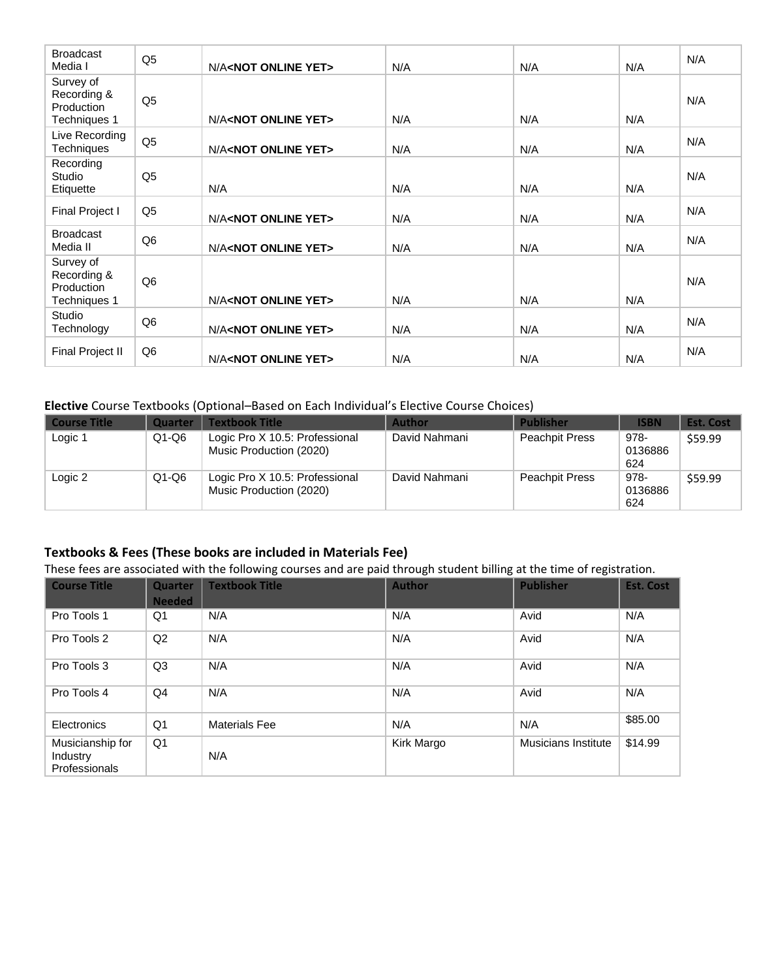| <b>Broadcast</b><br>Media I                            | Q <sub>5</sub> | N/A <not online="" yet=""></not> | N/A | N/A | N/A | N/A |
|--------------------------------------------------------|----------------|----------------------------------|-----|-----|-----|-----|
| Survey of<br>Recording &<br>Production<br>Techniques 1 | Q <sub>5</sub> | N/A <not online="" yet=""></not> | N/A | N/A | N/A | N/A |
| Live Recording<br>Techniques                           | Q <sub>5</sub> | N/A <not online="" yet=""></not> | N/A | N/A | N/A | N/A |
| Recording<br>Studio<br>Etiquette                       | Q <sub>5</sub> | N/A                              | N/A | N/A | N/A | N/A |
| Final Project I                                        | Q <sub>5</sub> | N/A <not online="" yet=""></not> | N/A | N/A | N/A | N/A |
| <b>Broadcast</b><br>Media II                           | Q <sub>6</sub> | N/A <not online="" yet=""></not> | N/A | N/A | N/A | N/A |
| Survey of<br>Recording &<br>Production<br>Techniques 1 | Q <sub>6</sub> | N/A <not online="" yet=""></not> | N/A | N/A | N/A | N/A |
| Studio<br>Technology                                   | Q <sub>6</sub> | N/A <not online="" yet=""></not> | N/A | N/A | N/A | N/A |
| Final Project II                                       | Q <sub>6</sub> | N/A <not online="" yet=""></not> | N/A | N/A | N/A | N/A |

## **Elective** Course Textbooks (Optional–Based on Each Individual's Elective Course Choices)

| <b>Course Title</b> | Quarter | <b>Textbook Title</b>                                     | <b>Author</b> | <b>Publisher</b>      | <b>ISBN</b>            | <b>Est. Cost</b> |
|---------------------|---------|-----------------------------------------------------------|---------------|-----------------------|------------------------|------------------|
| Logic 1             | $Q1-Q6$ | Logic Pro X 10.5: Professional<br>Music Production (2020) | David Nahmani | <b>Peachpit Press</b> | 978-<br>0136886<br>624 | \$59.99          |
| Logic 2             | $Q1-Q6$ | Logic Pro X 10.5: Professional<br>Music Production (2020) | David Nahmani | <b>Peachpit Press</b> | 978-<br>0136886<br>624 | \$59.99          |

# **Textbooks & Fees (These books are included in Materials Fee)**

These fees are associated with the following courses and are paid through student billing at the time of registration.

| <b>Course Title</b>                           | <b>Quarter</b><br><b>Needed</b> | <b>Textbook Title</b> | <b>Author</b> | <b>Publisher</b>    | <b>Est. Cost</b> |
|-----------------------------------------------|---------------------------------|-----------------------|---------------|---------------------|------------------|
| Pro Tools 1                                   | Q1                              | N/A                   | N/A           | Avid                | N/A              |
| Pro Tools 2                                   | Q2                              | N/A                   | N/A           | Avid                | N/A              |
| Pro Tools 3                                   | Q <sub>3</sub>                  | N/A                   | N/A           | Avid                | N/A              |
| Pro Tools 4                                   | Q <sub>4</sub>                  | N/A                   | N/A           | Avid                | N/A              |
| Electronics                                   | Q <sub>1</sub>                  | <b>Materials Fee</b>  | N/A           | N/A                 | \$85.00          |
| Musicianship for<br>Industry<br>Professionals | Q <sub>1</sub>                  | N/A                   | Kirk Margo    | Musicians Institute | \$14.99          |